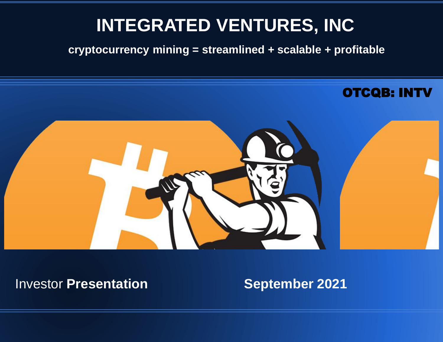#### **INTEGRATED VENTURES, INC**

**cryptocurrency mining = streamlined + scalable + profitable** 



#### **Investor Presentation September 2021**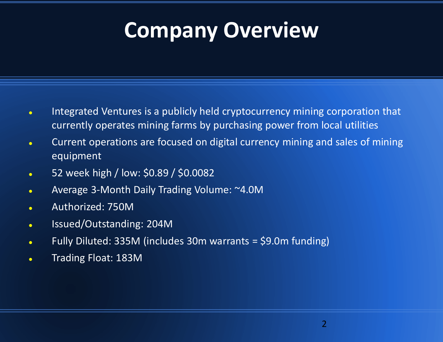## **Company Overview**

- Integrated Ventures is a publicly held cryptocurrency mining corporation that currently operates mining farms by purchasing power from local utilities
- Current operations are focused on digital currency mining and sales of mining equipment
- 52 week high / low: \$0.89 / \$0.0082
- Average 3-Month Daily Trading Volume: ~4.0M
- Authorized: 750M
- Issued/Outstanding: 204M
- Fully Diluted: 335M (includes 30m warrants = \$9.0m funding)
- Trading Float: 183M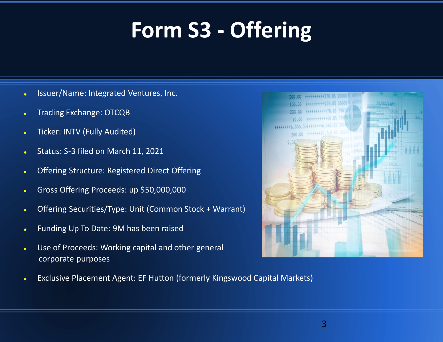# **Form S3 - Offering**

- . Issuer/Name: Integrated Ventures, Inc.
- Trading Exchange: OTCQB
- Ticker: INTV (Fully Audited)
- Status: S-3 filed on March 11, 2021
- Offering Structure: Registered Direct Offering
- Gross Offering Proceeds: up \$50,000,000
- Offering Securities/Type: Unit (Common Stock + Warrant)
- Funding Up To Date: 9M has been raised
- Use of Proceeds: Working capital and other general corporate purposes



Exclusive Placement Agent: EF Hutton (formerly Kingswood Capital Markets)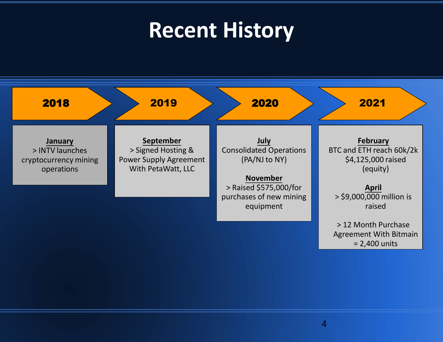## **Recent History**

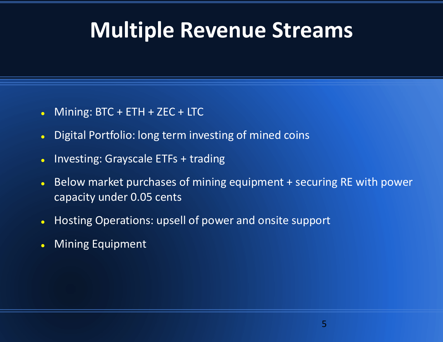## **Multiple Revenue Streams**

- Mining: BTC + ETH + ZEC + LTC
- Digital Portfolio: long term investing of mined coins
- Investing: Grayscale ETFs + trading
- Below market purchases of mining equipment + securing RE with power capacity under 0.05 cents
- Hosting Operations: upsell of power and onsite support
- Mining Equipment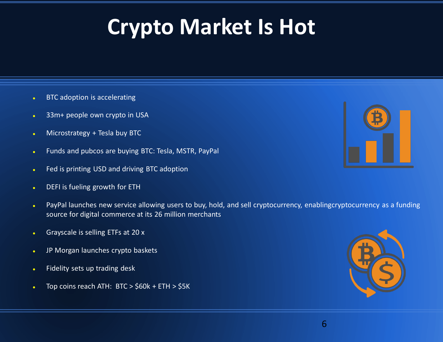# **Crypto Market Is Hot**

- **BTC** adoption is accelerating
- 33m+ people own crypto in USA
- Microstrategy + Tesla buy BTC
- Funds and pubcos are buying BTC: Tesla, MSTR, PayPal
- **Fed is printing USD and driving BTC adoption**
- DEFI is fueling growth for ETH
- PayPal launches new service allowing users to buy, hold, and sell cryptocurrency, enablingcryptocurrency as a funding source for digital commerce at its 26 million merchants
- Grayscale is selling ETFs at 20 x
- JP Morgan launches crypto baskets
- **Fidelity sets up trading desk**
- $\bullet$  Top coins reach ATH: BTC > \$60k + ETH > \$5K



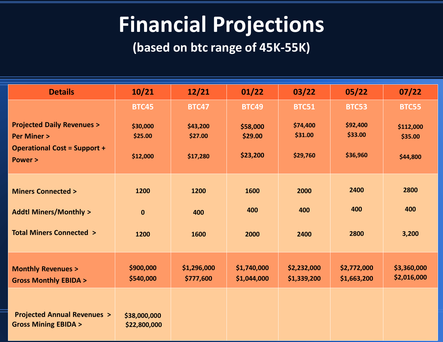## **Financial Projections**

**(based on btc range of 45K-55K)**

| <b>Details</b>                                                          | 10/21                        | 12/21                    | 01/22                      | 03/22                      | 05/22                      | 07/22                      |
|-------------------------------------------------------------------------|------------------------------|--------------------------|----------------------------|----------------------------|----------------------------|----------------------------|
|                                                                         | <b>BTC45</b>                 | <b>BTC47</b>             | <b>BTC49</b>               | <b>BTC51</b>               | <b>BTC53</b>               | <b>BTC55</b>               |
| <b>Projected Daily Revenues &gt;</b><br><b>Per Miner &gt;</b>           | \$30,000<br>\$25.00          | \$43,200<br>\$27.00      | \$58,000<br>\$29.00        | \$74,400<br>\$31.00        | \$92,400<br>\$33.00        | \$112,000<br>\$35.00       |
| <b>Operational Cost = Support +</b><br><b>Power &gt;</b>                | \$12,000                     | \$17,280                 | \$23,200                   | \$29,760                   | \$36,960                   | \$44,800                   |
| <b>Miners Connected &gt;</b>                                            | 1200                         | 1200                     | 1600                       | 2000                       | 2400                       | 2800                       |
| <b>Addtl Miners/Monthly &gt;</b>                                        | $\mathbf{0}$                 | 400                      | 400                        | 400                        | 400                        | 400                        |
| <b>Total Miners Connected &gt;</b>                                      | 1200                         | 1600                     | 2000                       | 2400                       | 2800                       | 3,200                      |
| <b>Monthly Revenues &gt;</b><br><b>Gross Monthly EBIDA &gt;</b>         | \$900,000<br>\$540,000       | \$1,296,000<br>\$777,600 | \$1,740,000<br>\$1,044,000 | \$2,232,000<br>\$1,339,200 | \$2,772,000<br>\$1,663,200 | \$3,360,000<br>\$2,016,000 |
| <b>Projected Annual Revenues &gt;</b><br><b>Gross Mining EBIDA &gt;</b> | \$38,000,000<br>\$22,800,000 |                          |                            |                            |                            |                            |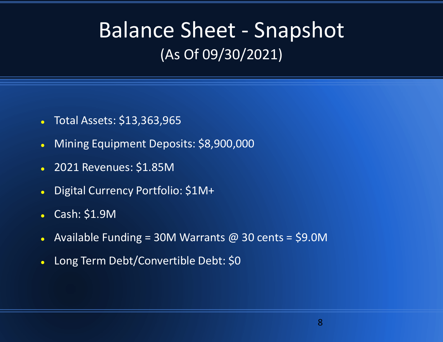## Balance Sheet - Snapshot (As Of 09/30/2021)

- Total Assets: \$13,363,965
- Mining Equipment Deposits: \$8,900,000
- 2021 Revenues: \$1.85M
- Digital Currency Portfolio: \$1M+
- Cash: \$1.9M
- Available Funding = 30M Warrants @ 30 cents = \$9.0M
- Long Term Debt/Convertible Debt: \$0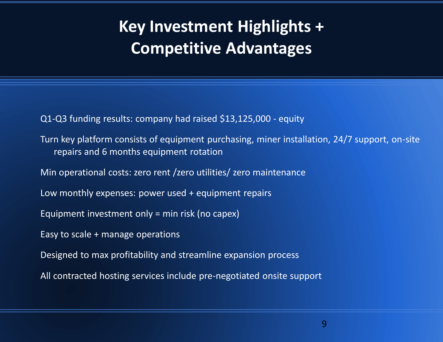#### **Key Investment Highlights + Competitive Advantages**

Q1-Q3 funding results: company had raised \$13,125,000 - equity

Turn key platform consists of equipment purchasing, miner installation, 24/7 support, on-site repairs and 6 months equipment rotation

Min operational costs: zero rent /zero utilities/ zero maintenance

Low monthly expenses: power used + equipment repairs

Equipment investment only = min risk (no capex)

Easy to scale + manage operations

Designed to max profitability and streamline expansion process

All contracted hosting services include pre-negotiated onsite support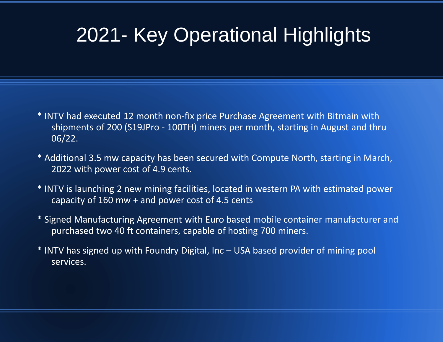## 2021- Key Operational Highlights

- \* INTV had executed 12 month non-fix price Purchase Agreement with Bitmain with shipments of 200 (S19JPro - 100TH) miners per month, starting in August and thru 06/22.
- \* Additional 3.5 mw capacity has been secured with Compute North, starting in March, 2022 with power cost of 4.9 cents.
- \* INTV is launching 2 new mining facilities, located in western PA with estimated power capacity of 160 mw + and power cost of 4.5 cents
- \* Signed Manufacturing Agreement with Euro based mobile container manufacturer and purchased two 40 ft containers, capable of hosting 700 miners.
- \* INTV has signed up with Foundry Digital, Inc USA based provider of mining pool services.